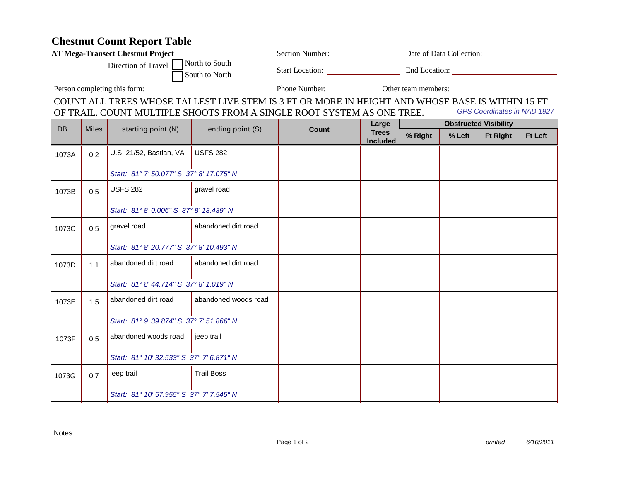## **Chestnut Count Report Table**

| <b>AT Mega-Transect Chestnut Project</b>                                                                                                                                                                  |              |                                          |                      | Section Number: Date of Data Collection: |                                 |                              |        |                 |                |  |
|-----------------------------------------------------------------------------------------------------------------------------------------------------------------------------------------------------------|--------------|------------------------------------------|----------------------|------------------------------------------|---------------------------------|------------------------------|--------|-----------------|----------------|--|
| North to South<br>Direction of Travel<br>South to North                                                                                                                                                   |              |                                          |                      |                                          | Start Location: End Location:   |                              |        |                 |                |  |
| Person completing this form:                                                                                                                                                                              |              |                                          |                      | Phone Number: Other team members:        |                                 |                              |        |                 |                |  |
| COUNT ALL TREES WHOSE TALLEST LIVE STEM IS 3 FT OR MORE IN HEIGHT AND WHOSE BASE IS WITHIN 15 FT<br>GPS Coordinates in NAD 1927<br>OF TRAIL. COUNT MULTIPLE SHOOTS FROM A SINGLE ROOT SYSTEM AS ONE TREE. |              |                                          |                      |                                          |                                 |                              |        |                 |                |  |
|                                                                                                                                                                                                           |              |                                          |                      |                                          | Large                           | <b>Obstructed Visibility</b> |        |                 |                |  |
| <b>DB</b>                                                                                                                                                                                                 | <b>Miles</b> | starting point (N)                       | ending point (S)     | <b>Count</b>                             | <b>Trees</b><br><b>Included</b> | % Right                      | % Left | <b>Ft Right</b> | <b>Ft Left</b> |  |
| 1073A                                                                                                                                                                                                     | 0.2          | U.S. 21/52, Bastian, VA                  | <b>USFS 282</b>      |                                          |                                 |                              |        |                 |                |  |
|                                                                                                                                                                                                           |              | Start: 81° 7' 50.077" S 37° 8' 17.075" N |                      |                                          |                                 |                              |        |                 |                |  |
| 1073B                                                                                                                                                                                                     | 0.5          | <b>USFS 282</b>                          | gravel road          |                                          |                                 |                              |        |                 |                |  |
|                                                                                                                                                                                                           |              | Start: 81° 8' 0.006" S 37° 8' 13.439" N  |                      |                                          |                                 |                              |        |                 |                |  |
| 1073C                                                                                                                                                                                                     | 0.5          | gravel road                              | abandoned dirt road  |                                          |                                 |                              |        |                 |                |  |
|                                                                                                                                                                                                           |              | Start: 81° 8' 20.777" S 37° 8' 10.493" N |                      |                                          |                                 |                              |        |                 |                |  |
| 1073D                                                                                                                                                                                                     | 1.1          | abandoned dirt road                      | abandoned dirt road  |                                          |                                 |                              |        |                 |                |  |
|                                                                                                                                                                                                           |              | Start: 81° 8' 44.714" S 37° 8' 1.019" N  |                      |                                          |                                 |                              |        |                 |                |  |
| 1073E                                                                                                                                                                                                     | 1.5          | abandoned dirt road                      | abandoned woods road |                                          |                                 |                              |        |                 |                |  |
|                                                                                                                                                                                                           |              | Start: 81° 9' 39.874" S 37° 7' 51.866" N |                      |                                          |                                 |                              |        |                 |                |  |
| 1073F                                                                                                                                                                                                     | 0.5          | abandoned woods road                     | jeep trail           |                                          |                                 |                              |        |                 |                |  |
|                                                                                                                                                                                                           |              | Start: 81° 10' 32.533" S 37° 7' 6.871" N |                      |                                          |                                 |                              |        |                 |                |  |
| 1073G                                                                                                                                                                                                     | 0.7          | jeep trail                               | <b>Trail Boss</b>    |                                          |                                 |                              |        |                 |                |  |
|                                                                                                                                                                                                           |              | Start: 81° 10' 57.955" S 37° 7' 7.545" N |                      |                                          |                                 |                              |        |                 |                |  |